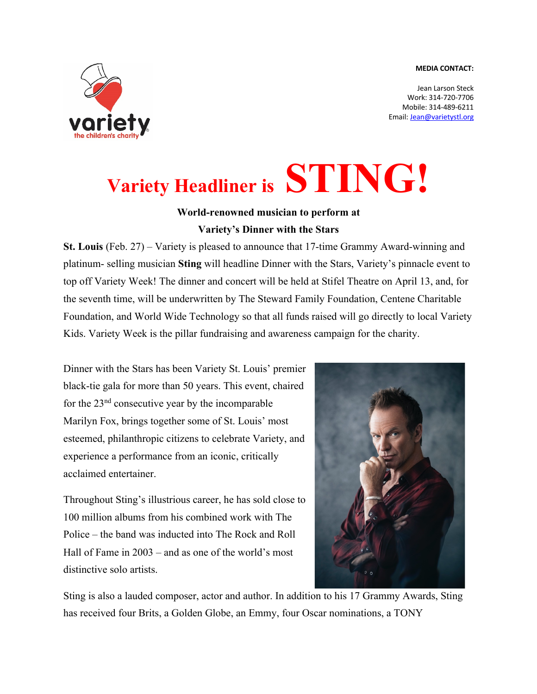## **MEDIA CONTACT:**



Jean Larson Steck Work: 314-720-7706 Mobile: 314-489-6211 Email: Jean@varietystl.org

## **Variety Headliner is STING!**

## **World-renowned musician to perform at Variety's Dinner with the Stars**

**St. Louis** (Feb. 27) – Variety is pleased to announce that 17-time Grammy Award-winning and platinum- selling musician **Sting** will headline Dinner with the Stars, Variety's pinnacle event to top off Variety Week! The dinner and concert will be held at Stifel Theatre on April 13, and, for the seventh time, will be underwritten by The Steward Family Foundation, Centene Charitable Foundation, and World Wide Technology so that all funds raised will go directly to local Variety Kids. Variety Week is the pillar fundraising and awareness campaign for the charity.

Dinner with the Stars has been Variety St. Louis' premier black-tie gala for more than 50 years. This event, chaired for the  $23<sup>nd</sup>$  consecutive year by the incomparable Marilyn Fox, brings together some of St. Louis' most esteemed, philanthropic citizens to celebrate Variety, and experience a performance from an iconic, critically acclaimed entertainer.

Throughout Sting's illustrious career, he has sold close to 100 million albums from his combined work with The Police – the band was inducted into The Rock and Roll Hall of Fame in 2003 – and as one of the world's most distinctive solo artists.



Sting is also a lauded composer, actor and author. In addition to his 17 Grammy Awards, Sting has received four Brits, a Golden Globe, an Emmy, four Oscar nominations, a TONY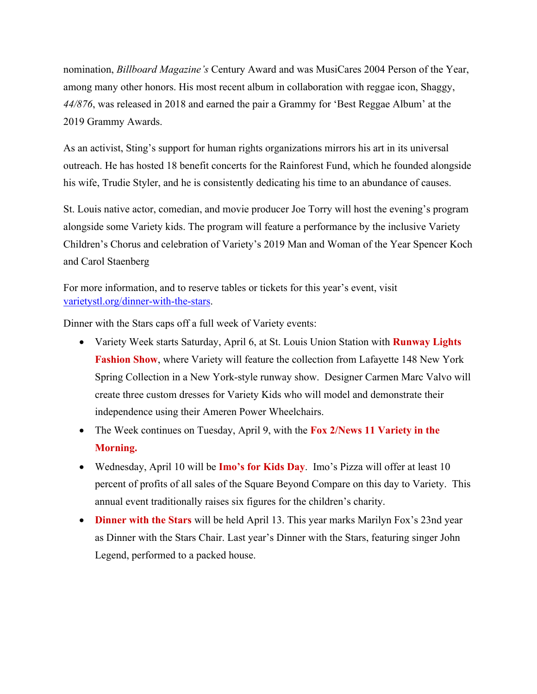nomination, *Billboard Magazine's* Century Award and was MusiCares 2004 Person of the Year, among many other honors. His most recent album in collaboration with reggae icon, Shaggy, *44/876*, was released in 2018 and earned the pair a Grammy for 'Best Reggae Album' at the 2019 Grammy Awards.

As an activist, Sting's support for human rights organizations mirrors his art in its universal outreach. He has hosted 18 benefit concerts for the Rainforest Fund, which he founded alongside his wife, Trudie Styler, and he is consistently dedicating his time to an abundance of causes.

St. Louis native actor, comedian, and movie producer Joe Torry will host the evening's program alongside some Variety kids. The program will feature a performance by the inclusive Variety Children's Chorus and celebration of Variety's 2019 Man and Woman of the Year Spencer Koch and Carol Staenberg

For more information, and to reserve tables or tickets for this year's event, visit varietystl.org/dinner-with-the-stars.

Dinner with the Stars caps off a full week of Variety events:

- Variety Week starts Saturday, April 6, at St. Louis Union Station with **Runway Lights Fashion Show**, where Variety will feature the collection from Lafayette 148 New York Spring Collection in a New York-style runway show. Designer Carmen Marc Valvo will create three custom dresses for Variety Kids who will model and demonstrate their independence using their Ameren Power Wheelchairs.
- The Week continues on Tuesday, April 9, with the **Fox 2/News 11 Variety in the Morning.**
- Wednesday, April 10 will be **Imo's for Kids Day**. Imo's Pizza will offer at least 10 percent of profits of all sales of the Square Beyond Compare on this day to Variety. This annual event traditionally raises six figures for the children's charity.
- **Dinner with the Stars** will be held April 13. This year marks Marilyn Fox's 23nd year as Dinner with the Stars Chair. Last year's Dinner with the Stars, featuring singer John Legend, performed to a packed house.